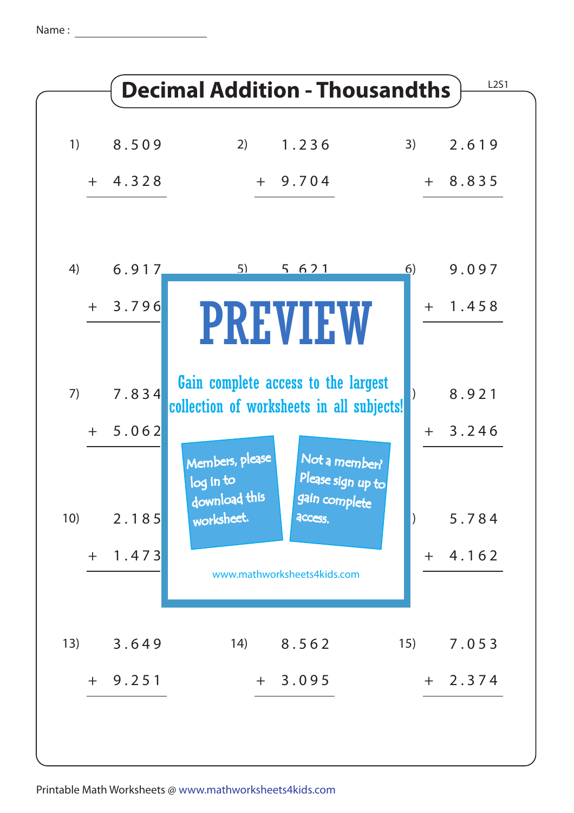